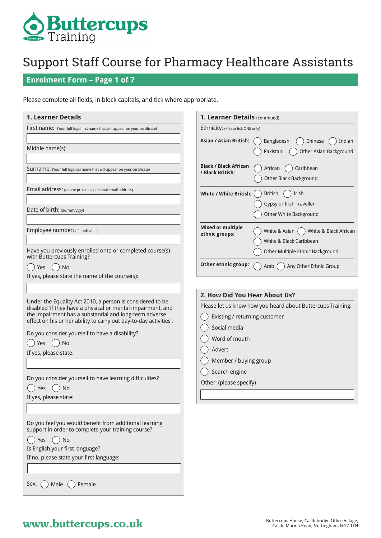

### **Enrolment Form – Page 1 of 7**

Please complete all fields, in block capitals, and tick where appropriate.

| <b>1. Learner Details</b>                                                                                                                                                                                                                                                                                                                                                                                                                        | 1. Learner Details (continued)                                                                                                                                                                                                                |                                             |
|--------------------------------------------------------------------------------------------------------------------------------------------------------------------------------------------------------------------------------------------------------------------------------------------------------------------------------------------------------------------------------------------------------------------------------------------------|-----------------------------------------------------------------------------------------------------------------------------------------------------------------------------------------------------------------------------------------------|---------------------------------------------|
| First name: (Your full legal first name that will appear on your certificate)                                                                                                                                                                                                                                                                                                                                                                    | Ethnicity: (Please tick ONE only)                                                                                                                                                                                                             |                                             |
| Middle name(s):                                                                                                                                                                                                                                                                                                                                                                                                                                  | <b>Asian / Asian British:</b><br>Bangladeshi<br>Pakistani                                                                                                                                                                                     | Chinese<br>Indian<br>Other Asian Background |
| Surname: (Your full legal surname that will appear on your certificate)                                                                                                                                                                                                                                                                                                                                                                          | <b>Black / Black African</b><br>Caribbean<br>African<br>/ Black British:<br>Other Black Background                                                                                                                                            |                                             |
| Email address: (please provide a personal email address)                                                                                                                                                                                                                                                                                                                                                                                         | White / White British:<br>Irish<br>British<br>Gypsy or Irish Traveller                                                                                                                                                                        |                                             |
| Date of birth: (dd/mm/yyyy)                                                                                                                                                                                                                                                                                                                                                                                                                      | Other White Background                                                                                                                                                                                                                        |                                             |
| Employee number: (if applicable)<br>Have you previously enrolled onto or completed course(s)                                                                                                                                                                                                                                                                                                                                                     | <b>Mixed or multiple</b><br>White & Asian $($<br>ethnic groups:<br>White & Black Caribbean<br>Other Multiple Ethnic Background                                                                                                                | White & Black African                       |
| with Buttercups Training?<br>$()$ No<br>Yes<br>If yes, please state the name of the course(s):                                                                                                                                                                                                                                                                                                                                                   | Other ethnic group:<br>Arab (                                                                                                                                                                                                                 | Any Other Ethnic Group                      |
| Under the Equality Act 2010, a person is considered to be<br>disabled 'if they have a physical or mental impairment, and<br>the impairment has a substantial and long-term adverse<br>effect on his or her ability to carry out day-to-day activities'.<br>Do you consider yourself to have a disability?<br>No<br>Yes<br>If yes, please state:<br>Do you consider yourself to have learning difficulties?<br>No<br>Yes<br>If yes, please state: | 2. How Did You Hear About Us?<br>Please let us know how you heard about Buttercups Training.<br>Existing / returning customer<br>Social media<br>Word of mouth<br>Advert<br>Member / buying group<br>Search engine<br>Other: (please specify) |                                             |
| Do you feel you would benefit from additional learning<br>support in order to complete your training course?<br>No<br><b>Yes</b><br>Is English your first language?<br>If no, please state your first language:<br>Sex:<br>Female<br>Male                                                                                                                                                                                                        |                                                                                                                                                                                                                                               |                                             |

## **Buttercups House, Castlebridge Office Village,** Buttercups House, Castlebridge Office Village, Castle Marina Road, Nottingham, NG7 1TN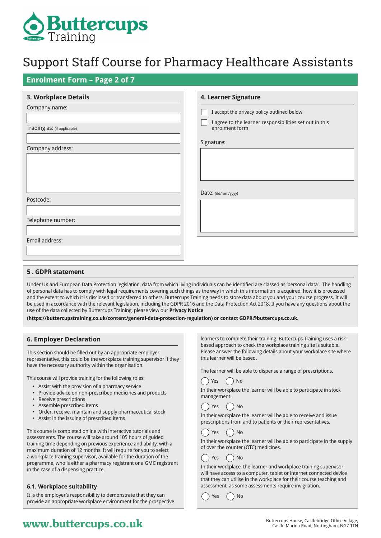

### **Enrolment Form – Page 2 of 7**

| 3. Workplace Details        | 4. Learner Signature                                                      |  |
|-----------------------------|---------------------------------------------------------------------------|--|
| Company name:               | I accept the privacy policy outlined below                                |  |
| Trading as: (if applicable) | I agree to the learner responsibilities set out in this<br>enrolment form |  |
| Company address:            | Signature:                                                                |  |
|                             |                                                                           |  |
|                             |                                                                           |  |
|                             |                                                                           |  |
| Postcode:                   | Date: (dd/mm/yyyy)                                                        |  |
|                             |                                                                           |  |
| Telephone number:           |                                                                           |  |
|                             |                                                                           |  |
| Email address:              |                                                                           |  |
|                             |                                                                           |  |

#### **5 . GDPR statement**

Under UK and European Data Protection legislation, data from which living individuals can be identified are classed as 'personal data'. The handling of personal data has to comply with legal requirements covering such things as the way in which this information is acquired, how it is processed and the extent to which it is disclosed or transferred to others. Buttercups Training needs to store data about you and your course progress. It will be used in accordance with the relevant legislation, including the GDPR 2016 and the Data Protection Act 2018. If you have any questions about the use of the data collected by Buttercups Training, please view our **Privacy Notice** 

**(https://buttercupstraining.co.uk/content/general-data-protection-regulation) or contact GDPR@buttercups.co.uk.**

#### **6. Employer Declaration**

This section should be filled out by an appropriate employer representative, this could be the workplace training supervisor if they have the necessary authority within the organisation.

This course will provide training for the following roles:

- Assist with the provision of a pharmacy service
- Provide advice on non-prescribed medicines and products
- Receive prescriptions
- Assemble prescribed items
- Order, receive, maintain and supply pharmaceutical stock
- Assist in the issuing of prescribed items

This course is completed online with interactive tutorials and assessments. The course will take around 105 hours of guided training time depending on previous experience and ability, with a maximum duration of 12 months. It will require for you to select a workplace training supervisor, available for the duration of the programme, who is either a pharmacy registrant or a GMC registrant in the case of a dispensing practice.

#### **6.1. Workplace suitability**

It is the employer's responsibility to demonstrate that they can provide an appropriate workplace environment for the prospective learners to complete their training. Buttercups Training uses a riskbased approach to check the workplace training site is suitable. Please answer the following details about your workplace site where this learner will be based.

The learner will be able to dispense a range of prescriptions.

 $()$  Yes  $()$  No

In their workplace the learner will be able to participate in stock management.

#### $($   $)$  Yes  $($   $)$  No

In their workplace the learner will be able to receive and issue prescriptions from and to patients or their representatives.

### $\gamma$  Yes  $\gamma$  No



#### ) Yes ( )No

In their workplace, the learner and workplace training supervisor will have access to a computer, tablet or internet connected device that they can utilise in the workplace for their course teaching and assessment, as some assessments require invigilation.

Yes ( ) No

## **WWW.buttercups.co.uk** Buttercups House, Castlebridge Office Village, **WWW.butterCupS.co.uk** Castle Marina Road, Nottingham, NG7 1TN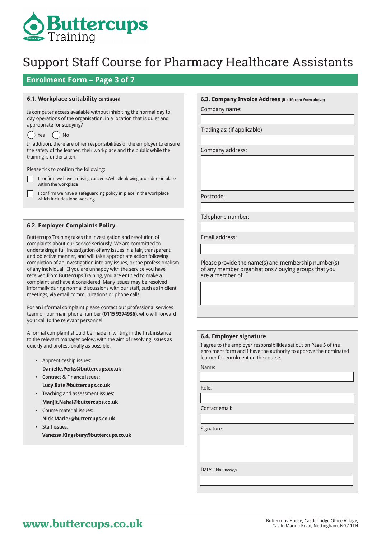

### **Enrolment Form – Page 3 of 7**

#### **6.1. Workplace suitability continued**

Is computer access available without inhibiting the normal day to day operations of the organisation, in a location that is quiet and appropriate for studying?

#### $() Yes () No$

 $\overline{\phantom{a}}$ 

In addition, there are other responsibilities of the employer to ensure the safety of the learner, their workplace and the public while the training is undertaken.

Please tick to confirm the following:

- $\sqrt{ }$ I confirm we have a raising concerns/whistleblowing procedure in place within the workplace
	- I confirm we have a safeguarding policy in place in the workplace which includes lone working

#### **6.2. Employer Complaints Policy**

Buttercups Training takes the investigation and resolution of complaints about our service seriously. We are committed to undertaking a full investigation of any issues in a fair, transparent and objective manner, and will take appropriate action following completion of an investigation into any issues, or the professionalism of any individual. If you are unhappy with the service you have received from Buttercups Training, you are entitled to make a complaint and have it considered. Many issues may be resolved informally during normal discussions with our staff, such as in client meetings, via email communications or phone calls.

For an informal complaint please contact our professional services team on our main phone number **(0115 9374936)**, who will forward your call to the relevant personnel.

A formal complaint should be made in writing in the first instance to the relevant manager below, with the aim of resolving issues as quickly and professionally as possible.

- Apprenticeship issues:
- **Danielle.Perks@buttercups.co.uk**
- Contract & Finance issues: **Lucy.Bate@buttercups.co.uk**
- Teaching and assessment issues: **Manjit.Nahal@buttercups.co.uk**
- Course material issues: **Nick.Marler@buttercups.co.uk**
- Staff issues: **Vanessa.Kingsbury@buttercups.co.uk**

#### **6.3. Company Invoice Address (if different from above)**

Company name:

Trading as: (if applicable)

Company address:

Postcode:

Telephone number:

Email address:

Please provide the name(s) and membership number(s) of any member organisations / buying groups that you are a member of:

#### **6.4. Employer signature**

I agree to the employer responsibilities set out on Page 5 of the enrolment form and I have the authority to approve the nominated learner for enrolment on the course.

Name:

Role:

Contact email:

Signature:

Date: (dd/mm/yyyy)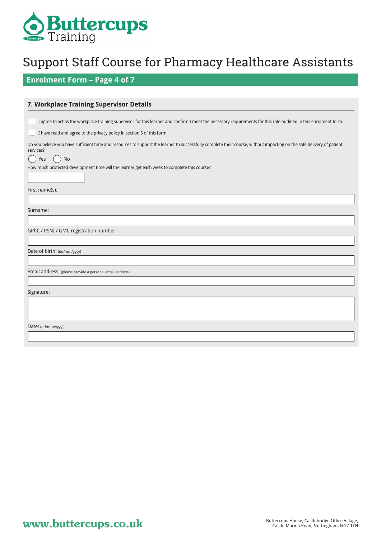

## **Enrolment Form – Page 4 of 7**

| 7. Workplace Training Supervisor Details                                                                                                                                           |
|------------------------------------------------------------------------------------------------------------------------------------------------------------------------------------|
| I agree to act as the workplace training supervisor for this learner and confirm I meet the necessary requirements for this role outlined in this enrolment form.                  |
| I have read and agree to the privacy policy in section 5 of this form                                                                                                              |
| Do you believe you have sufficient time and resources to support the learner to successfully complete their course, without impacting on the safe delivery of patient<br>services? |
| <b>No</b><br>Yes<br>How much protected development time will the learner get each week to complete this course?                                                                    |
| First name(s):                                                                                                                                                                     |
|                                                                                                                                                                                    |
| Surname:                                                                                                                                                                           |
| GPhC / PSNI / GMC registration number:                                                                                                                                             |
| Date of birth: (dd/mm/yyyy)                                                                                                                                                        |
|                                                                                                                                                                                    |
| Email address: (please provide a personal email address)                                                                                                                           |
|                                                                                                                                                                                    |
| Signature:                                                                                                                                                                         |
|                                                                                                                                                                                    |
| Date: (dd/mm/yyyy)                                                                                                                                                                 |
|                                                                                                                                                                                    |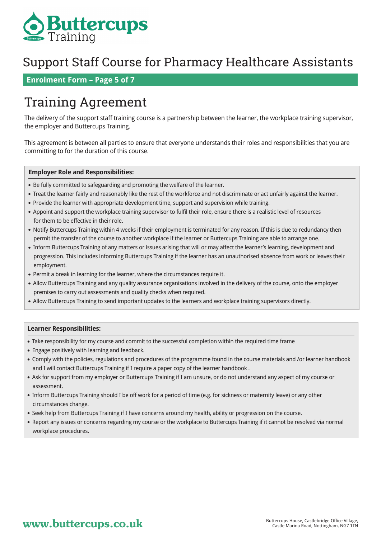

### **Enrolment Form – Page 5 of 7**

## Training Agreement

The delivery of the support staff training course is a partnership between the learner, the workplace training supervisor, the employer and Buttercups Training.

This agreement is between all parties to ensure that everyone understands their roles and responsibilities that you are committing to for the duration of this course.

#### **Employer Role and Responsibilities:**

- Be fully committed to safeguarding and promoting the welfare of the learner.
- Treat the learner fairly and reasonably like the rest of the workforce and not discriminate or act unfairly against the learner.
- Provide the learner with appropriate development time, support and supervision while training.
- Appoint and support the workplace training supervisor to fulfil their role, ensure there is a realistic level of resources for them to be effective in their role.
- Notify Buttercups Training within 4 weeks if their employment is terminated for any reason. If this is due to redundancy then permit the transfer of the course to another workplace if the learner or Buttercups Training are able to arrange one.
- Inform Buttercups Training of any matters or issues arising that will or may affect the learner's learning, development and progression. This includes informing Buttercups Training if the learner has an unauthorised absence from work or leaves their employment.
- Permit a break in learning for the learner, where the circumstances require it.
- Allow Buttercups Training and any quality assurance organisations involved in the delivery of the course, onto the employer premises to carry out assessments and quality checks when required.
- Allow Buttercups Training to send important updates to the learners and workplace training supervisors directly.

#### **Learner Responsibilities:**

- Take responsibility for my course and commit to the successful completion within the required time frame
- Engage positively with learning and feedback.
- Comply with the policies, regulations and procedures of the programme found in the course materials and /or learner handbook and I will contact Buttercups Training if I require a paper copy of the learner handbook .
- Ask for support from my employer or Buttercups Training if I am unsure, or do not understand any aspect of my course or assessment.
- Inform Buttercups Training should I be off work for a period of time (e.g. for sickness or maternity leave) or any other circumstances change.
- Seek help from Buttercups Training if I have concerns around my health, ability or progression on the course.
- Report any issues or concerns regarding my course or the workplace to Buttercups Training if it cannot be resolved via normal workplace procedures.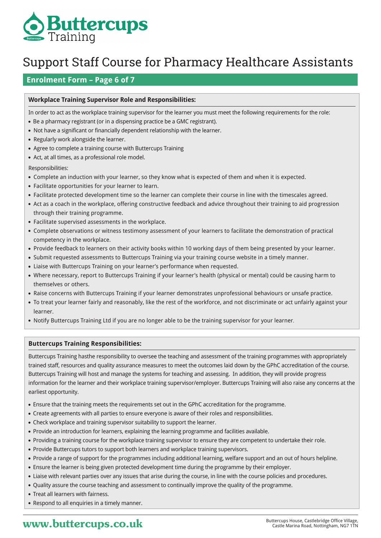

### **Enrolment Form – Page 6 of 7**

#### **Workplace Training Supervisor Role and Responsibilities:**

In order to act as the workplace training supervisor for the learner you must meet the following requirements for the role:

- Be a pharmacy registrant (or in a dispensing practice be a GMC registrant).
- Not have a significant or financially dependent relationship with the learner.
- Regularly work alongside the learner.
- Agree to complete a training course with Buttercups Training
- Act, at all times, as a professional role model.
- Responsibilities:
- Complete an induction with your learner, so they know what is expected of them and when it is expected.
- Facilitate opportunities for your learner to learn.
- Facilitate protected development time so the learner can complete their course in line with the timescales agreed.
- Act as a coach in the workplace, offering constructive feedback and advice throughout their training to aid progression through their training programme.
- Facilitate supervised assessments in the workplace.
- Complete observations or witness testimony assessment of your learners to facilitate the demonstration of practical competency in the workplace.
- Provide feedback to learners on their activity books within 10 working days of them being presented by your learner.
- Submit requested assessments to Buttercups Training via your training course website in a timely manner.
- Liaise with Buttercups Training on your learner's performance when requested.
- Where necessary, report to Buttercups Training if your learner's health (physical or mental) could be causing harm to themselves or others.
- Raise concerns with Buttercups Training if your learner demonstrates unprofessional behaviours or unsafe practice.
- To treat your learner fairly and reasonably, like the rest of the workforce, and not discriminate or act unfairly against your learner.
- Notify Buttercups Training Ltd if you are no longer able to be the training supervisor for your learner.

#### **Buttercups Training Responsibilities:**

Buttercups Training hasthe responsibility to oversee the teaching and assessment of the training programmes with appropriately trained staff, resources and quality assurance measures to meet the outcomes laid down by the GPhC accreditation of the course. Buttercups Training will host and manage the systems for teaching and assessing. In addition, they will provide progress information for the learner and their workplace training supervisor/employer. Buttercups Training will also raise any concerns at the earliest opportunity.

- Ensure that the training meets the requirements set out in the GPhC accreditation for the programme.
- Create agreements with all parties to ensure everyone is aware of their roles and responsibilities.
- Check workplace and training supervisor suitability to support the learner.
- Provide an introduction for learners, explaining the learning programme and facilities available.
- Providing a training course for the workplace training supervisor to ensure they are competent to undertake their role.
- Provide Buttercups tutors to support both learners and workplace training supervisors.
- Provide a range of support for the programmes including additional learning, welfare support and an out of hours helpline.
- Ensure the learner is being given protected development time during the programme by their employer.
- Liaise with relevant parties over any issues that arise during the course, in line with the course policies and procedures.
- Quality assure the course teaching and assessment to continually improve the quality of the programme.
- Treat all learners with fairness.
- Respond to all enquiries in a timely manner.

## **WWW.buttercups.co.uk** Buttercups House, Castlebridge Office Village,